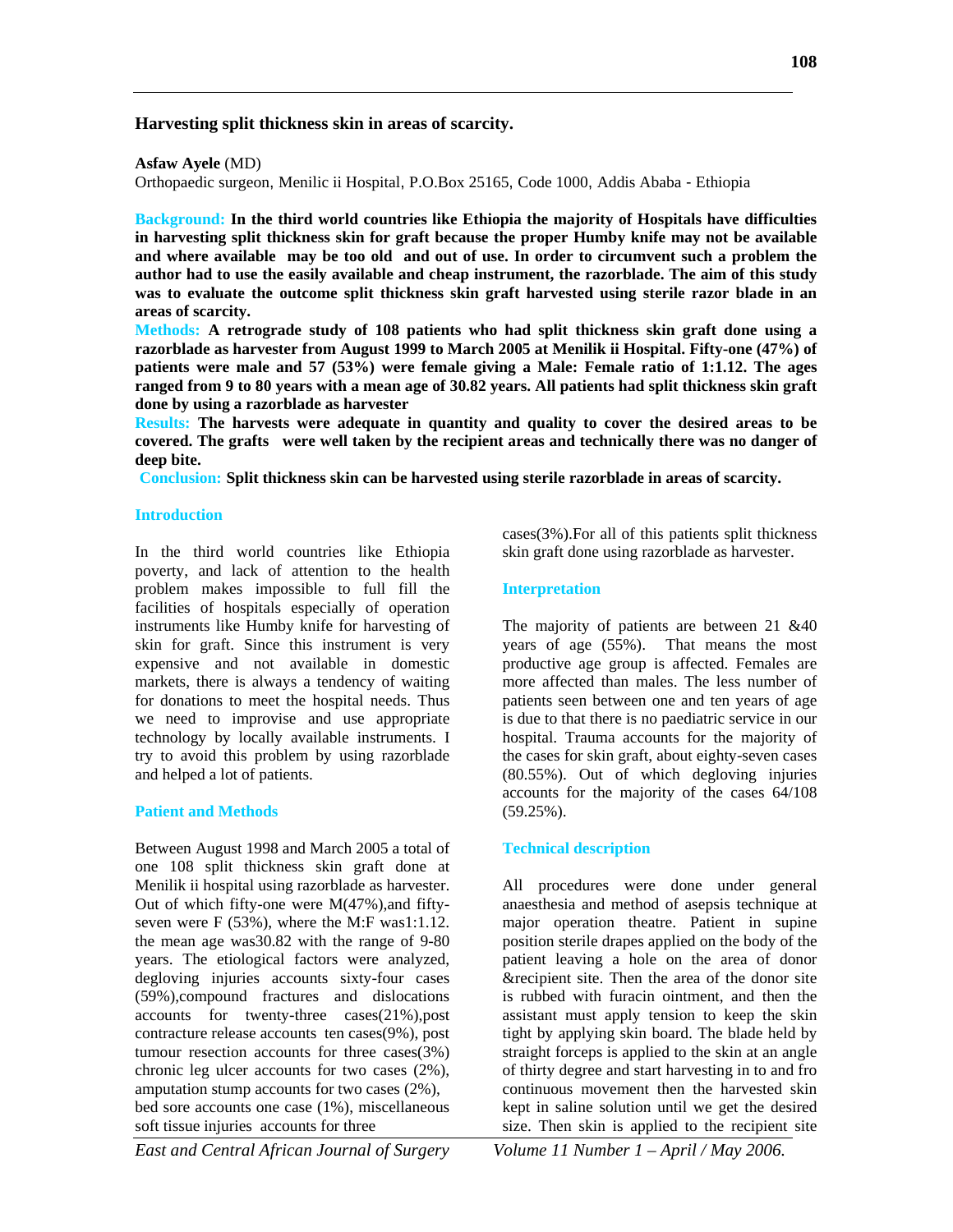## **Harvesting split thickness skin in areas of scarcity.**

**Asfaw Ayele** (MD)

Orthopaedic surgeon, Menilic ii Hospital, P.O.Box 25165, Code 1000, Addis Ababa - Ethiopia

**Background: In the third world countries like Ethiopia the majority of Hospitals have difficulties in harvesting split thickness skin for graft because the proper Humby knife may not be available and where available may be too old and out of use. In order to circumvent such a problem the author had to use the easily available and cheap instrument, the razorblade. The aim of this study was to evaluate the outcome split thickness skin graft harvested using sterile razor blade in an areas of scarcity.**

**Methods: A retrograde study of 108 patients who had split thickness skin graft done using a razorblade as harvester from August 1999 to March 2005 at Menilik ii Hospital. Fifty-one (47%) of patients were male and 57 (53%) were female giving a Male: Female ratio of 1:1.12. The ages ranged from 9 to 80 years with a mean age of 30.82 years. All patients had split thickness skin graft done by using a razorblade as harvester**

**Results: The harvests were adequate in quantity and quality to cover the desired areas to be covered. The grafts were well taken by the recipient areas and technically there was no danger of deep bite.**

**Conclusion: Split thickness skin can be harvested using sterile razorblade in areas of scarcity.**

#### **Introduction**

In the third world countries like Ethiopia poverty, and lack of attention to the health problem makes impossible to full fill the facilities of hospitals especially of operation instruments like Humby knife for harvesting of skin for graft. Since this instrument is very expensive and not available in domestic markets, there is always a tendency of waiting for donations to meet the hospital needs. Thus we need to improvise and use appropriate technology by locally available instruments. I try to avoid this problem by using razorblade and helped a lot of patients.

### **Patient and Methods**

Between August 1998 and March 2005 a total of one 108 split thickness skin graft done at Menilik ii hospital using razorblade as harvester. Out of which fifty-one were M(47%),and fiftyseven were F (53%), where the M:F was1:1.12. the mean age was30.82 with the range of 9-80 years. The etiological factors were analyzed, degloving injuries accounts sixty-four cases (59%),compound fractures and dislocations accounts for twenty-three cases(21%),post contracture release accounts ten cases(9%), post tumour resection accounts for three cases(3%) chronic leg ulcer accounts for two cases (2%), amputation stump accounts for two cases (2%), bed sore accounts one case (1%), miscellaneous soft tissue injuries accounts for three

cases(3%).For all of this patients split thickness skin graft done using razorblade as harvester.

#### **Interpretation**

The majority of patients are between 21 &40 years of age (55%). That means the most productive age group is affected. Females are more affected than males. The less number of patients seen between one and ten years of age is due to that there is no paediatric service in our hospital. Trauma accounts for the majority of the cases for skin graft, about eighty-seven cases (80.55%). Out of which degloving injuries accounts for the majority of the cases 64/108 (59.25%).

### **Technical description**

All procedures were done under general anaesthesia and method of asepsis technique at major operation theatre. Patient in supine position sterile drapes applied on the body of the patient leaving a hole on the area of donor &recipient site. Then the area of the donor site is rubbed with furacin ointment, and then the assistant must apply tension to keep the skin tight by applying skin board. The blade held by straight forceps is applied to the skin at an angle of thirty degree and start harvesting in to and fro continuous movement then the harvested skin kept in saline solution until we get the desired size. Then skin is applied to the recipient site

*East and Central African Journal of Surgery Volume 11 Number 1 – April / May 2006.*